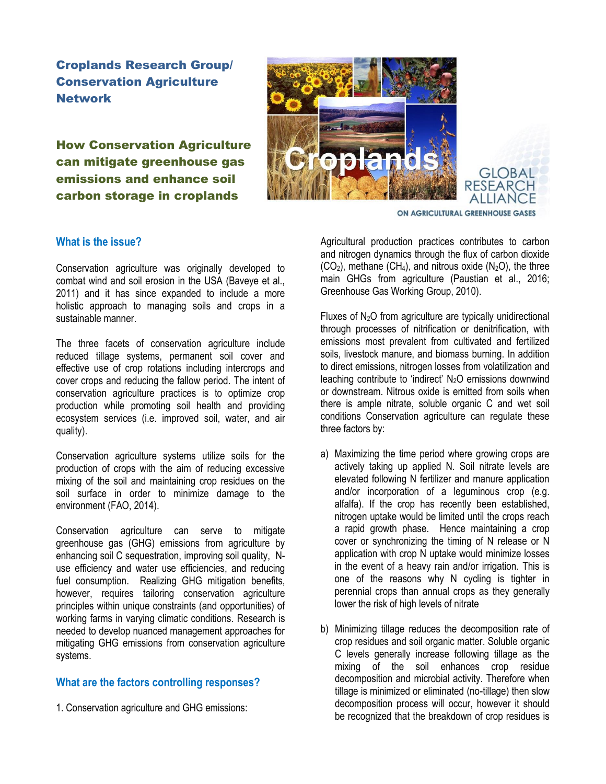Croplands Research Group/ Conservation Agriculture **Network** 

# How Conservation Agriculture can mitigate greenhouse gas emissions and enhance soil carbon storage in croplands



ON AGRICULTURAL GREENHOUSE GASES

Global RESEARCH

## **What is the issue?**

Conservation agriculture was originally developed to combat wind and soil erosion in the USA (Baveye et al., 2011) and it has since expanded to include a more holistic approach to managing soils and crops in a sustainable manner.

The three facets of conservation agriculture include reduced tillage systems, permanent soil cover and effective use of crop rotations including intercrops and cover crops and reducing the fallow period. The intent of conservation agriculture practices is to optimize crop production while promoting soil health and providing ecosystem services (i.e. improved soil, water, and air quality).

Conservation agriculture systems utilize soils for the production of crops with the aim of reducing excessive mixing of the soil and maintaining crop residues on the soil surface in order to minimize damage to the environment (FAO, 2014).

Conservation agriculture can serve to mitigate greenhouse gas (GHG) emissions from agriculture by enhancing soil C sequestration, improving soil quality, Nuse efficiency and water use efficiencies, and reducing fuel consumption. Realizing GHG mitigation benefits, however, requires tailoring conservation agriculture principles within unique constraints (and opportunities) of working farms in varying climatic conditions. Research is needed to develop nuanced management approaches for mitigating GHG emissions from conservation agriculture systems.

# **What are the factors controlling responses?**

1. Conservation agriculture and GHG emissions:

Agricultural production practices contributes to carbon and nitrogen dynamics through the flux of carbon dioxide  $(CO<sub>2</sub>)$ , methane  $(CH<sub>4</sub>)$ , and nitrous oxide  $(N<sub>2</sub>O)$ , the three main GHGs from agriculture (Paustian et al., 2016; Greenhouse Gas Working Group, 2010).

Fluxes of  $N<sub>2</sub>O$  from agriculture are typically unidirectional through processes of nitrification or denitrification, with emissions most prevalent from cultivated and fertilized soils, livestock manure, and biomass burning. In addition to direct emissions, nitrogen losses from volatilization and leaching contribute to 'indirect'  $N_2O$  emissions downwind or downstream. Nitrous oxide is emitted from soils when there is ample nitrate, soluble organic C and wet soil conditions Conservation agriculture can regulate these three factors by:

- a) Maximizing the time period where growing crops are actively taking up applied N. Soil nitrate levels are elevated following N fertilizer and manure application and/or incorporation of a leguminous crop (e.g. alfalfa). If the crop has recently been established, nitrogen uptake would be limited until the crops reach a rapid growth phase. Hence maintaining a crop cover or synchronizing the timing of N release or N application with crop N uptake would minimize losses in the event of a heavy rain and/or irrigation. This is one of the reasons why N cycling is tighter in perennial crops than annual crops as they generally lower the risk of high levels of nitrate
- b) Minimizing tillage reduces the decomposition rate of crop residues and soil organic matter. Soluble organic C levels generally increase following tillage as the mixing of the soil enhances crop residue decomposition and microbial activity. Therefore when tillage is minimized or eliminated (no-tillage) then slow decomposition process will occur, however it should be recognized that the breakdown of crop residues is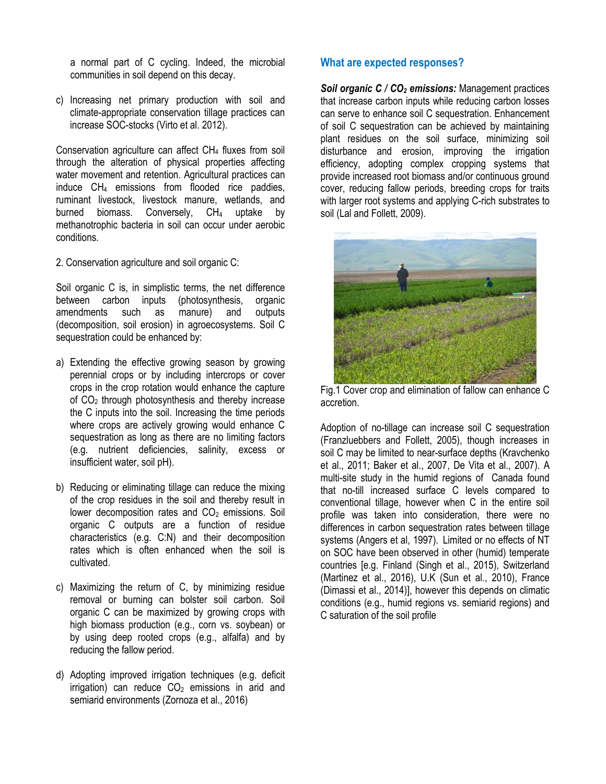a normal part of C cycling. Indeed, the microbial communities in soil depend on this decay.

c) Increasing net primary production with soil and climate-appropriate conservation tillage practices can increase SOC-stocks (Virto et al. 2012).

Conservation agriculture can affect CH<sub>4</sub> fluxes from soil through the alteration of physical properties affecting water movement and retention. Agricultural practices can induce CH<sup>4</sup> emissions from flooded rice paddies, ruminant livestock, livestock manure, wetlands, and burned biomass. Conversely,  $CH<sub>4</sub>$  uptake by methanotrophic bacteria in soil can occur under aerobic conditions.

2. Conservation agriculture and soil organic C:

Soil organic C is, in simplistic terms, the net difference between carbon inputs (photosynthesis, organic amendments such as manure) and outputs (decomposition, soil erosion) in agroecosystems. Soil C sequestration could be enhanced by:

- a) Extending the effective growing season by growing perennial crops or by including intercrops or cover crops in the crop rotation would enhance the capture of  $CO<sub>2</sub>$  through photosynthesis and thereby increase the C inputs into the soil. Increasing the time periods where crops are actively growing would enhance C sequestration as long as there are no limiting factors (e.g. nutrient deficiencies, salinity, excess or insufficient water, soil pH).
- b) Reducing or eliminating tillage can reduce the mixing of the crop residues in the soil and thereby result in lower decomposition rates and  $CO<sub>2</sub>$  emissions. Soil organic C outputs are a function of residue characteristics (e.g. C:N) and their decomposition rates which is often enhanced when the soil is cultivated.
- c) Maximizing the return of C, by minimizing residue removal or burning can bolster soil carbon. Soil organic C can be maximized by growing crops with high biomass production (e.g., corn vs. soybean) or by using deep rooted crops (e.g., alfalfa) and by reducing the fallow period.
- d) Adopting improved irrigation techniques (e.g. deficit  $irriation)$  can reduce  $CO<sub>2</sub>$  emissions in arid and semiarid environments (Zornoza et al., 2016)

#### **What are expected responses?**

*Soil organic C / CO<sup>2</sup> emissions:* Management practices that increase carbon inputs while reducing carbon losses can serve to enhance soil C sequestration. Enhancement of soil C sequestration can be achieved by maintaining plant residues on the soil surface, minimizing soil disturbance and erosion, improving the irrigation efficiency, adopting complex cropping systems that provide increased root biomass and/or continuous ground cover, reducing fallow periods, breeding crops for traits with larger root systems and applying C-rich substrates to soil (Lal and Follett, 2009).



Fig.1 Cover crop and elimination of fallow can enhance C accretion.

Adoption of no-tillage can increase soil C sequestration (Franzluebbers and Follett, 2005), though increases in soil C may be limited to near-surface depths (Kravchenko et al., 2011; Baker et al., 2007, De Vita et al., 2007). A multi-site study in the humid regions of Canada found that no-till increased surface C levels compared to conventional tillage, however when C in the entire soil profile was taken into consideration, there were no differences in carbon sequestration rates between tillage systems (Angers et al, 1997). Limited or no effects of NT on SOC have been observed in other (humid) temperate countries [e.g. Finland (Singh et al., 2015), Switzerland (Martinez et al., 2016), U.K (Sun et al., 2010), France (Dimassi et al., 2014)], however this depends on climatic conditions (e.g., humid regions vs. semiarid regions) and C saturation of the soil profile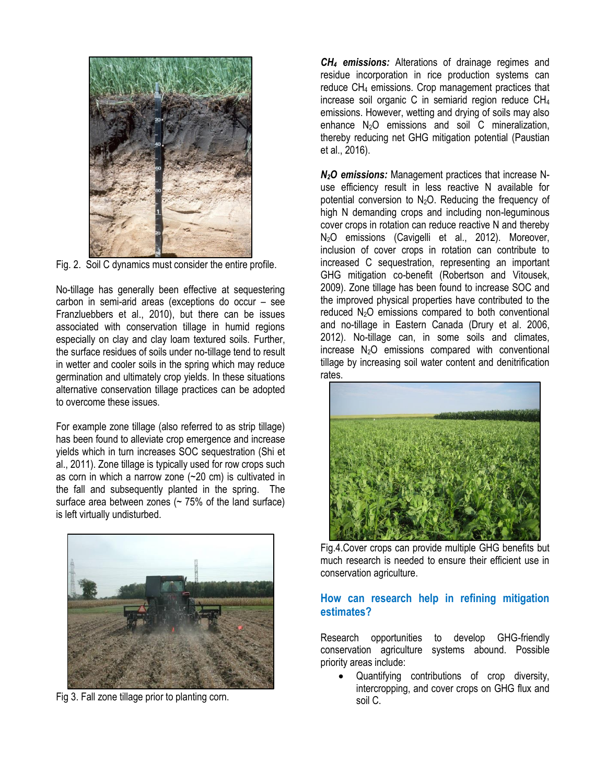

Fig. 2. Soil C dynamics must consider the entire profile.

No-tillage has generally been effective at sequestering carbon in semi-arid areas (exceptions do occur – see Franzluebbers et al., 2010), but there can be issues associated with conservation tillage in humid regions especially on clay and clay loam textured soils. Further, the surface residues of soils under no-tillage tend to result in wetter and cooler soils in the spring which may reduce germination and ultimately crop yields. In these situations alternative conservation tillage practices can be adopted to overcome these issues.

For example zone tillage (also referred to as strip tillage) has been found to alleviate crop emergence and increase yields which in turn increases SOC sequestration (Shi et al., 2011). Zone tillage is typically used for row crops such as corn in which a narrow zone (~20 cm) is cultivated in the fall and subsequently planted in the spring. The surface area between zones  $($   $\sim$  75% of the land surface) is left virtually undisturbed.



Fig 3. Fall zone tillage prior to planting corn.

*CH<sup>4</sup> emissions:* Alterations of drainage regimes and residue incorporation in rice production systems can reduce CH<sup>4</sup> emissions. Crop management practices that increase soil organic C in semiarid region reduce CH<sup>4</sup> emissions. However, wetting and drying of soils may also enhance N2O emissions and soil C mineralization, thereby reducing net GHG mitigation potential (Paustian et al., 2016).

*N2O emissions:* Management practices that increase Nuse efficiency result in less reactive N available for potential conversion to  $N_2O$ . Reducing the frequency of high N demanding crops and including non-leguminous cover crops in rotation can reduce reactive N and thereby N2O emissions (Cavigelli et al., 2012). Moreover, inclusion of cover crops in rotation can contribute to increased C sequestration, representing an important GHG mitigation co-benefit (Robertson and Vitousek, 2009). Zone tillage has been found to increase SOC and the improved physical properties have contributed to the reduced N2O emissions compared to both conventional and no-tillage in Eastern Canada (Drury et al. 2006, 2012). No-tillage can, in some soils and climates, increase N2O emissions compared with conventional tillage by increasing soil water content and denitrification rates.



Fig.4.Cover crops can provide multiple GHG benefits but much research is needed to ensure their efficient use in conservation agriculture.

# **How can research help in refining mitigation estimates?**

Research opportunities to develop GHG-friendly conservation agriculture systems abound. Possible priority areas include:

 Quantifying contributions of crop diversity, intercropping, and cover crops on GHG flux and soil C.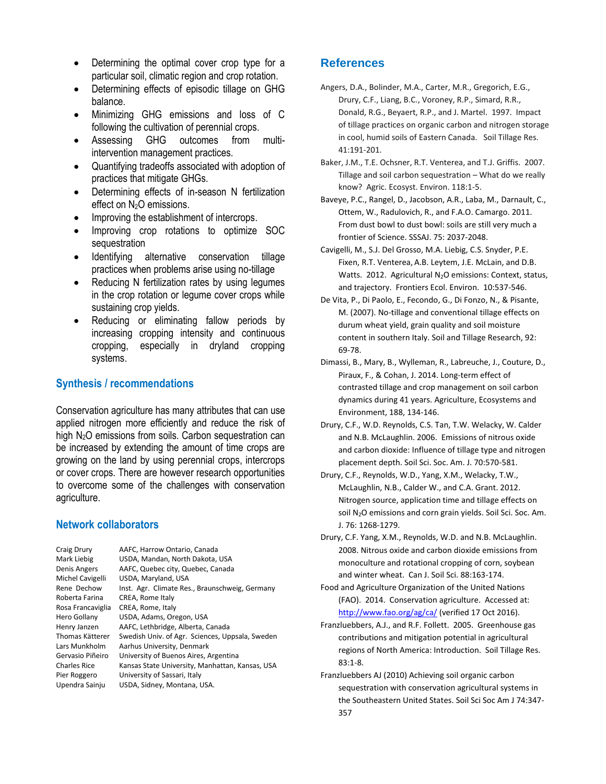- Determining the optimal cover crop type for a particular soil, climatic region and crop rotation.
- Determining effects of episodic tillage on GHG balance.
- Minimizing GHG emissions and loss of C following the cultivation of perennial crops.
- Assessing GHG outcomes from multiintervention management practices.
- Quantifying tradeoffs associated with adoption of practices that mitigate GHGs.
- Determining effects of in-season N fertilization effect on N<sub>2</sub>O emissions.
- Improving the establishment of intercrops.
- Improving crop rotations to optimize SOC sequestration
- Identifying alternative conservation tillage practices when problems arise using no-tillage
- Reducing N fertilization rates by using legumes in the crop rotation or legume cover crops while sustaining crop yields.
- Reducing or eliminating fallow periods by increasing cropping intensity and continuous cropping, especially in dryland cropping systems.

# **Synthesis / recommendations**

Conservation agriculture has many attributes that can use applied nitrogen more efficiently and reduce the risk of high N<sub>2</sub>O emissions from soils. Carbon sequestration can be increased by extending the amount of time crops are growing on the land by using perennial crops, intercrops or cover crops. There are however research opportunities to overcome some of the challenges with conservation agriculture.

### **Network collaborators**

| Craig Drury         | AAFC, Harrow Ontario, Canada                    |
|---------------------|-------------------------------------------------|
| Mark Liebig         | USDA, Mandan, North Dakota, USA                 |
| Denis Angers        | AAFC, Quebec city, Quebec, Canada               |
| Michel Cavigelli    | USDA, Maryland, USA                             |
| Rene Dechow         | Inst. Agr. Climate Res., Braunschweig, Germany  |
| Roberta Farina      | CREA, Rome Italy                                |
| Rosa Francaviglia   | CREA, Rome, Italy                               |
| Hero Gollany        | USDA, Adams, Oregon, USA                        |
| Henry Janzen        | AAFC, Lethbridge, Alberta, Canada               |
| Thomas Kätterer     | Swedish Univ. of Agr. Sciences, Uppsala, Sweden |
| Lars Munkholm       | Aarhus University, Denmark                      |
| Gervasio Piñeiro    | University of Buenos Aires, Argentina           |
| <b>Charles Rice</b> | Kansas State University, Manhattan, Kansas, USA |
| Pier Roggero        | University of Sassari, Italy                    |
| Upendra Sainju      | USDA, Sidney, Montana, USA.                     |

# **References**

- Angers, D.A., Bolinder, M.A., Carter, M.R., Gregorich, E.G., Drury, C.F., Liang, B.C., Voroney, R.P., Simard, R.R., Donald, R.G., Beyaert, R.P., and J. Martel. 1997. Impact of tillage practices on organic carbon and nitrogen storage in cool, humid soils of Eastern Canada. Soil Tillage Res. 41:191-201.
- Baker, J.M., T.E. Ochsner, R.T. Venterea, and T.J. Griffis. 2007. Tillage and soil carbon sequestration – What do we really know? Agric. Ecosyst. Environ. 118:1-5.
- Baveye, P.C., Rangel, D., Jacobson, A.R., Laba, M., Darnault, C., Ottem, W., Radulovich, R., and F.A.O. Camargo. 2011. From dust bowl to dust bowl: soils are still very much a frontier of Science. SSSAJ. 75: 2037-2048.
- Cavigelli, M., S.J. Del Grosso, M.A. Liebig, C.S. Snyder, P.E. Fixen, R.T. Venterea, A.B. Leytem, J.E. McLain, and D.B. Watts. 2012. Agricultural N<sub>2</sub>O emissions: Context, status, and trajectory. Frontiers Ecol. Environ. 10:537-546.
- De Vita, P., Di Paolo, E., Fecondo, G., Di Fonzo, N., & Pisante, M. (2007). No-tillage and conventional tillage effects on durum wheat yield, grain quality and soil moisture content in southern Italy. Soil and Tillage Research, 92: 69-78.
- Dimassi, B., Mary, B., Wylleman, R., Labreuche, J., Couture, D., Piraux, F., & Cohan, J. 2014. Long-term effect of contrasted tillage and crop management on soil carbon dynamics during 41 years. Agriculture, Ecosystems and Environment, 188, 134-146.
- Drury, C.F., W.D. Reynolds, C.S. Tan, T.W. Welacky, W. Calder and N.B. McLaughlin. 2006. Emissions of nitrous oxide and carbon dioxide: Influence of tillage type and nitrogen placement depth. Soil Sci. Soc. Am. J. 70:570-581.
- Drury, C.F., Reynolds, W.D., Yang, X.M., Welacky, T.W., McLaughlin, N.B., Calder W., and C.A. Grant. 2012. Nitrogen source, application time and tillage effects on soil N2O emissions and corn grain yields. Soil Sci. Soc. Am. J. 76: 1268-1279.
- Drury, C.F. Yang, X.M., Reynolds, W.D. and N.B. McLaughlin. 2008. Nitrous oxide and carbon dioxide emissions from monoculture and rotational cropping of corn, soybean and winter wheat. Can J. Soil Sci. 88:163-174.
- Food and Agriculture Organization of the United Nations (FAO). 2014. Conservation agriculture. Accessed at: <http://www.fao.org/ag/ca/> (verified 17 Oct 2016).
- Franzluebbers, A.J., and R.F. Follett. 2005. Greenhouse gas contributions and mitigation potential in agricultural regions of North America: Introduction. Soil Tillage Res. 83:1-8.
- Franzluebbers AJ (2010) Achieving soil organic carbon sequestration with conservation agricultural systems in the Southeastern United States. Soil Sci Soc Am J 74:347- 357